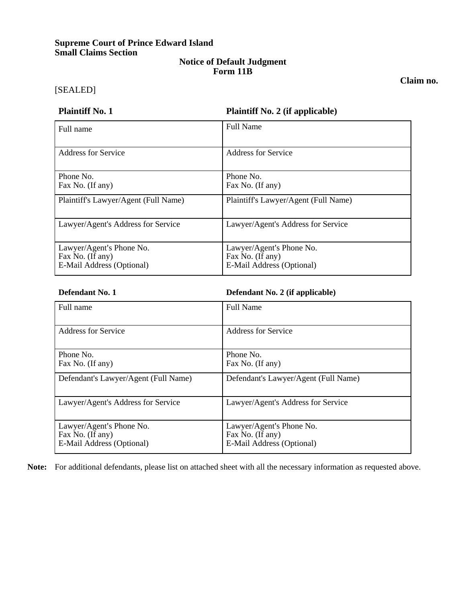# **Supreme Court of Prince Edward Island Small Claims Section**

### **Notice of Default Judgment Form 11B**

[SEALED]

**Claim no.** 

| <b>Plaintiff No. 1</b>                                                    | <b>Plaintiff No. 2 (if applicable)</b>                                    |
|---------------------------------------------------------------------------|---------------------------------------------------------------------------|
| Full name                                                                 | <b>Full Name</b>                                                          |
| Address for Service                                                       | <b>Address for Service</b>                                                |
| Phone No.<br>Fax No. (If any)                                             | Phone No.<br>Fax No. (If any)                                             |
| Plaintiff's Lawyer/Agent (Full Name)                                      | Plaintiff's Lawyer/Agent (Full Name)                                      |
| Lawyer/Agent's Address for Service                                        | Lawyer/Agent's Address for Service                                        |
| Lawyer/Agent's Phone No.<br>Fax No. (If any)<br>E-Mail Address (Optional) | Lawyer/Agent's Phone No.<br>Fax No. (If any)<br>E-Mail Address (Optional) |

### **Defendant No. 1 Defendant No. 2 (if applicable)**

| Full name                                                                 | <b>Full Name</b>                                                          |
|---------------------------------------------------------------------------|---------------------------------------------------------------------------|
| Address for Service                                                       | Address for Service                                                       |
| Phone No.<br>Fax No. (If any)                                             | Phone No.<br>Fax No. (If any)                                             |
| Defendant's Lawyer/Agent (Full Name)                                      | Defendant's Lawyer/Agent (Full Name)                                      |
| Lawyer/Agent's Address for Service                                        | Lawyer/Agent's Address for Service                                        |
| Lawyer/Agent's Phone No.<br>Fax No. (If any)<br>E-Mail Address (Optional) | Lawyer/Agent's Phone No.<br>Fax No. (If any)<br>E-Mail Address (Optional) |

**Note:** For additional defendants, please list on attached sheet with all the necessary information as requested above.